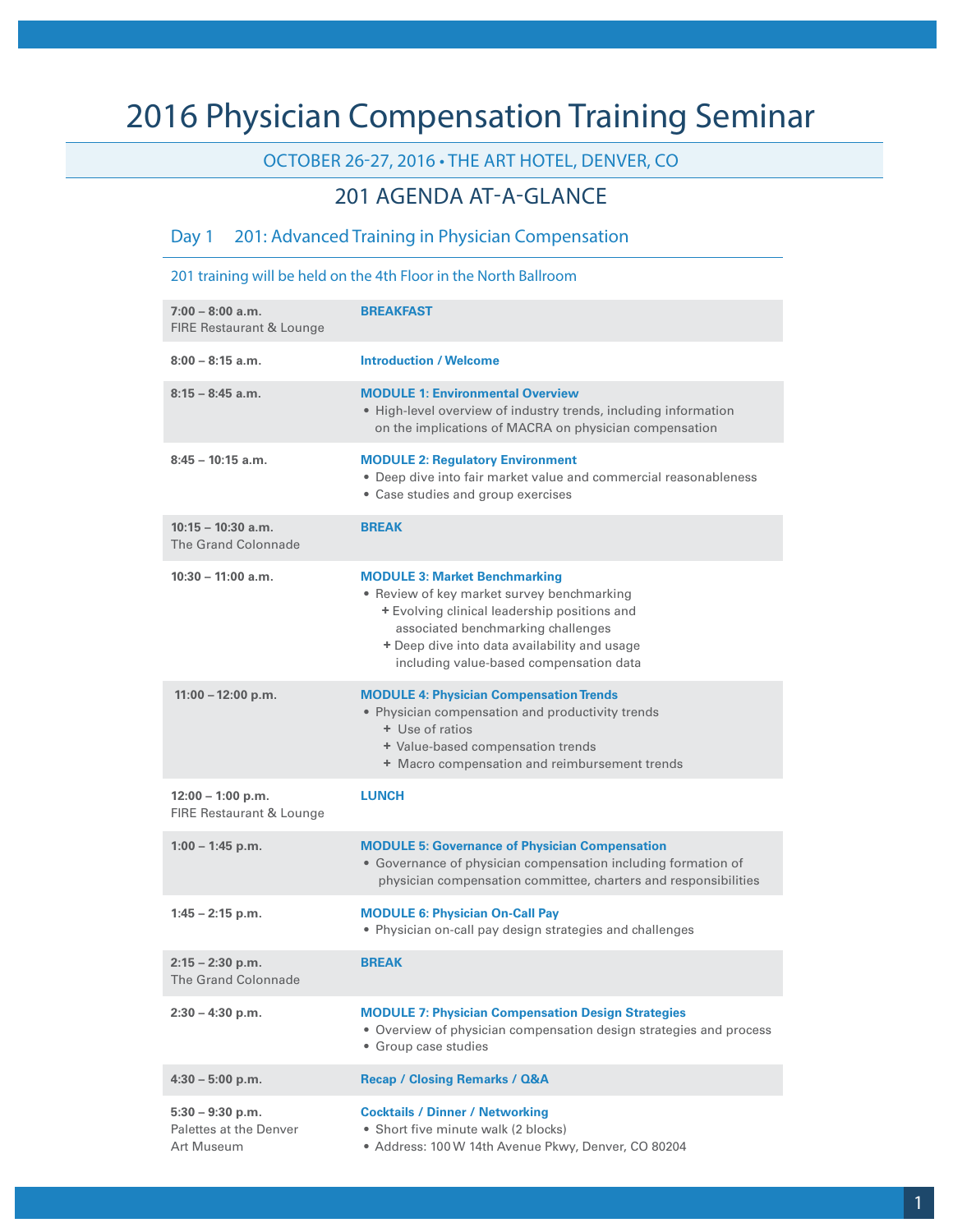# 2016 Physician Compensation Training Seminar

### OCTOBER 26-27, 2016 • THE ART HOTEL, DENVER, CO

### 201 AGENDA AT-A-GLANCE

#### Day 1 201: Advanced Training in Physician Compensation

201 training will be held on the 4th Floor in the North Ballroom

| $7:00 - 8:00$ a.m.<br><b>FIRE Restaurant &amp; Lounge</b>  | <b>BREAKFAST</b>                                                                                                                                                                                                                                                    |
|------------------------------------------------------------|---------------------------------------------------------------------------------------------------------------------------------------------------------------------------------------------------------------------------------------------------------------------|
| $8:00 - 8:15$ a.m.                                         | <b>Introduction / Welcome</b>                                                                                                                                                                                                                                       |
| $8:15 - 8:45$ a.m.                                         | <b>MODULE 1: Environmental Overview</b><br>• High-level overview of industry trends, including information<br>on the implications of MACRA on physician compensation                                                                                                |
| $8:45 - 10:15$ a.m.                                        | <b>MODULE 2: Regulatory Environment</b><br>• Deep dive into fair market value and commercial reasonableness<br>• Case studies and group exercises                                                                                                                   |
| $10:15 - 10:30$ a.m.<br><b>The Grand Colonnade</b>         | <b>BREAK</b>                                                                                                                                                                                                                                                        |
| $10:30 - 11:00$ a.m.                                       | <b>MODULE 3: Market Benchmarking</b><br>• Review of key market survey benchmarking<br>+ Evolving clinical leadership positions and<br>associated benchmarking challenges<br>+ Deep dive into data availability and usage<br>including value-based compensation data |
| $11:00 - 12:00$ p.m.                                       | <b>MODULE 4: Physician Compensation Trends</b><br>• Physician compensation and productivity trends<br>+ Use of ratios<br>+ Value-based compensation trends<br>+ Macro compensation and reimbursement trends                                                         |
| $12:00 - 1:00 p.m.$<br>FIRE Restaurant & Lounge            | <b>LUNCH</b>                                                                                                                                                                                                                                                        |
| $1:00 - 1:45$ p.m.                                         | <b>MODULE 5: Governance of Physician Compensation</b><br>• Governance of physician compensation including formation of<br>physician compensation committee, charters and responsibilities                                                                           |
| $1:45 - 2:15$ p.m.                                         | <b>MODULE 6: Physician On-Call Pay</b><br>• Physician on-call pay design strategies and challenges                                                                                                                                                                  |
| $2:15 - 2:30$ p.m.<br>The Grand Colonnade                  | <b>BREAK</b>                                                                                                                                                                                                                                                        |
| $2:30 - 4:30$ p.m.                                         | <b>MODULE 7: Physician Compensation Design Strategies</b><br>• Overview of physician compensation design strategies and process<br>· Group case studies                                                                                                             |
| $4:30 - 5:00$ p.m.                                         | <b>Recap / Closing Remarks / Q&amp;A</b>                                                                                                                                                                                                                            |
| $5:30 - 9:30$ p.m.<br>Palettes at the Denver<br>Art Museum | <b>Cocktails / Dinner / Networking</b><br>• Short five minute walk (2 blocks)<br>· Address: 100 W 14th Avenue Pkwy, Denver, CO 80204                                                                                                                                |